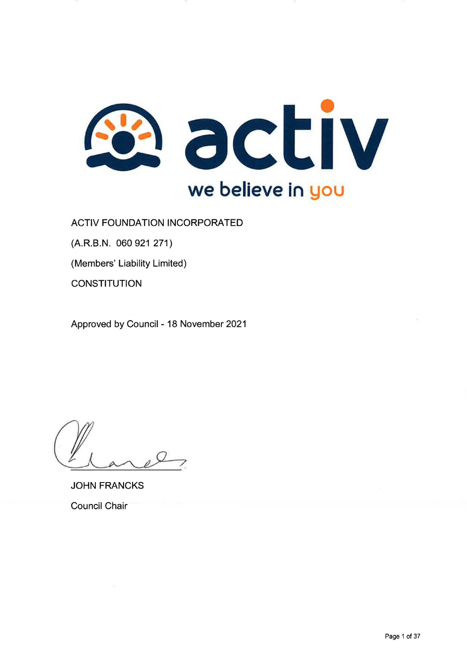

ACTIV FOUNDATION INCORPORATED

(A.R.B.N. 060 921 271)

(Members' Liability Limited)

**CONSTITUTION** 

Approved by Council - 18 November 2021

JOHN FRANCKS Council Chair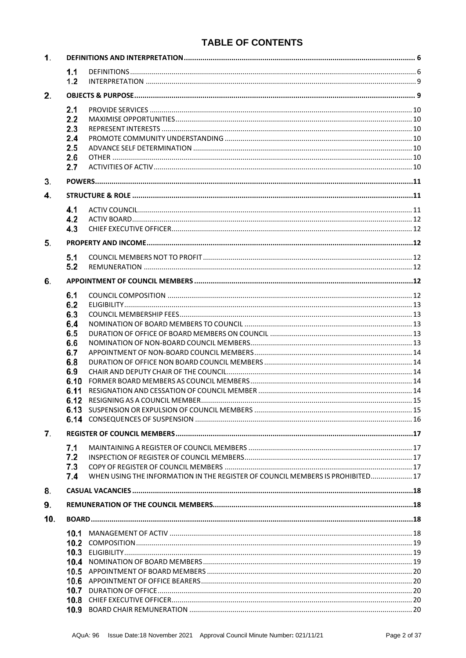# **TABLE OF CONTENTS**

| 1.  |            |                                                                                |  |  |
|-----|------------|--------------------------------------------------------------------------------|--|--|
|     | 1.1        |                                                                                |  |  |
|     | 1.2        |                                                                                |  |  |
| 2.  |            |                                                                                |  |  |
|     | 2.1        |                                                                                |  |  |
|     | 2.2        |                                                                                |  |  |
|     | 2.3        |                                                                                |  |  |
|     | 2.4        |                                                                                |  |  |
|     | 2.5        |                                                                                |  |  |
|     | 2.6        |                                                                                |  |  |
|     | 2.7        |                                                                                |  |  |
| 3.  |            |                                                                                |  |  |
| 4.  |            |                                                                                |  |  |
|     | 4.1        |                                                                                |  |  |
|     | 4.2        |                                                                                |  |  |
|     | 4.3        |                                                                                |  |  |
| 5.  |            |                                                                                |  |  |
|     |            |                                                                                |  |  |
|     | 5.1        |                                                                                |  |  |
|     | 5.2        |                                                                                |  |  |
| 6.  |            |                                                                                |  |  |
|     | 6.1        |                                                                                |  |  |
|     | 6.2        |                                                                                |  |  |
|     | 6.3        |                                                                                |  |  |
|     | 6.4        |                                                                                |  |  |
|     | 6.5<br>6.6 |                                                                                |  |  |
|     | 6.7        |                                                                                |  |  |
|     | 6.8        |                                                                                |  |  |
|     | 6.9        |                                                                                |  |  |
|     | 6.10       |                                                                                |  |  |
|     | 6.11       |                                                                                |  |  |
|     | 6.12       |                                                                                |  |  |
|     |            |                                                                                |  |  |
|     |            |                                                                                |  |  |
| 7.  |            |                                                                                |  |  |
|     | 7.1        |                                                                                |  |  |
|     | 7.2        |                                                                                |  |  |
|     | 7.3        |                                                                                |  |  |
|     | 7.4        | WHEN USING THE INFORMATION IN THE REGISTER OF COUNCIL MEMBERS IS PROHIBITED 17 |  |  |
| 8.  |            |                                                                                |  |  |
| 9.  |            |                                                                                |  |  |
| 10. |            |                                                                                |  |  |
|     |            |                                                                                |  |  |
|     |            |                                                                                |  |  |
|     |            |                                                                                |  |  |
|     |            |                                                                                |  |  |
|     |            |                                                                                |  |  |
|     |            |                                                                                |  |  |
|     |            |                                                                                |  |  |
|     |            |                                                                                |  |  |
|     |            |                                                                                |  |  |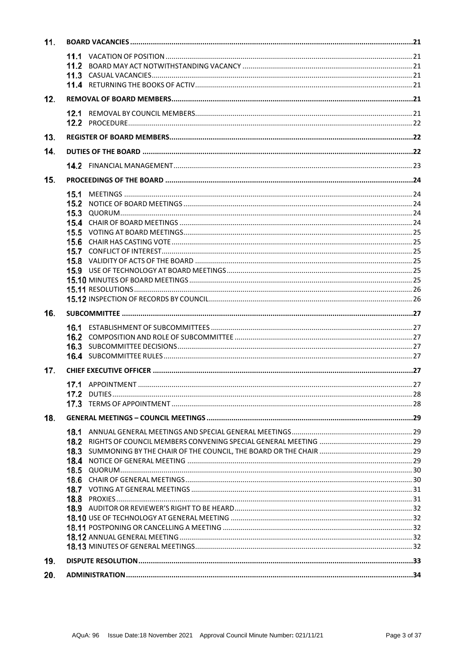| 11. |      |  |  |  |
|-----|------|--|--|--|
|     |      |  |  |  |
|     |      |  |  |  |
|     |      |  |  |  |
|     |      |  |  |  |
| 12. |      |  |  |  |
|     |      |  |  |  |
|     |      |  |  |  |
| 13. |      |  |  |  |
| 14. |      |  |  |  |
|     |      |  |  |  |
| 15. |      |  |  |  |
|     | 15.1 |  |  |  |
|     |      |  |  |  |
|     |      |  |  |  |
|     |      |  |  |  |
|     |      |  |  |  |
|     |      |  |  |  |
|     |      |  |  |  |
|     |      |  |  |  |
|     |      |  |  |  |
|     |      |  |  |  |
|     |      |  |  |  |
|     |      |  |  |  |
| 16. |      |  |  |  |
|     |      |  |  |  |
|     |      |  |  |  |
|     |      |  |  |  |
|     |      |  |  |  |
| 17. |      |  |  |  |
|     |      |  |  |  |
|     |      |  |  |  |
|     |      |  |  |  |
| 18. |      |  |  |  |
|     |      |  |  |  |
|     |      |  |  |  |
|     |      |  |  |  |
|     |      |  |  |  |
|     |      |  |  |  |
|     |      |  |  |  |
|     |      |  |  |  |
|     |      |  |  |  |
|     |      |  |  |  |
|     |      |  |  |  |
|     |      |  |  |  |
|     |      |  |  |  |
|     |      |  |  |  |
| 19. |      |  |  |  |
| 20. |      |  |  |  |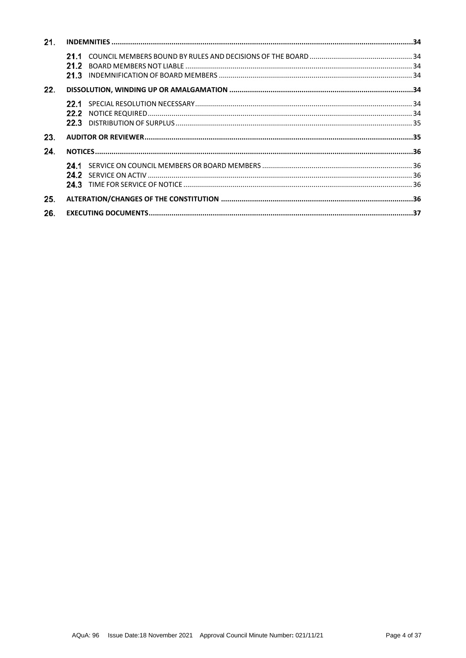| 21. |  |  |  |
|-----|--|--|--|
|     |  |  |  |
| 22. |  |  |  |
|     |  |  |  |
| 23. |  |  |  |
| 24. |  |  |  |
|     |  |  |  |
| 25. |  |  |  |
| 26. |  |  |  |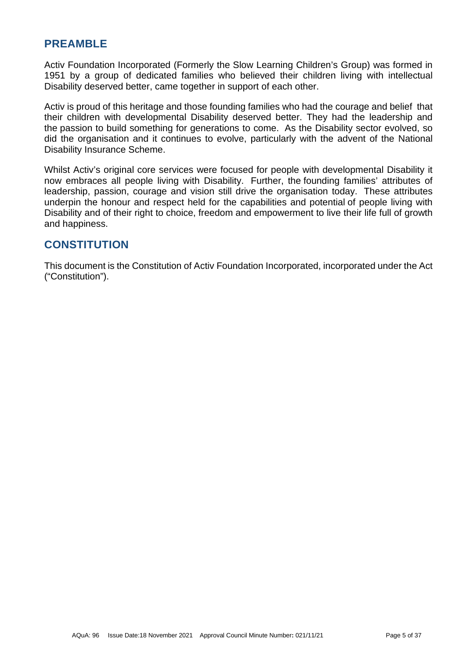# **PREAMBLE**

Activ Foundation Incorporated (Formerly the Slow Learning Children's Group) was formed in 1951 by a group of dedicated families who believed their children living with intellectual Disability deserved better, came together in support of each other.

Activ is proud of this heritage and those founding families who had the courage and belief that their children with developmental Disability deserved better. They had the leadership and the passion to build something for generations to come. As the Disability sector evolved, so did the organisation and it continues to evolve, particularly with the advent of the National Disability Insurance Scheme.

Whilst Activ's original core services were focused for people with developmental Disability it now embraces all people living with Disability. Further, the founding families' attributes of leadership, passion, courage and vision still drive the organisation today. These attributes underpin the honour and respect held for the capabilities and potential of people living with Disability and of their right to choice, freedom and empowerment to live their life full of growth and happiness.

# **CONSTITUTION**

This document is the Constitution of Activ Foundation Incorporated, incorporated under the Act ("Constitution").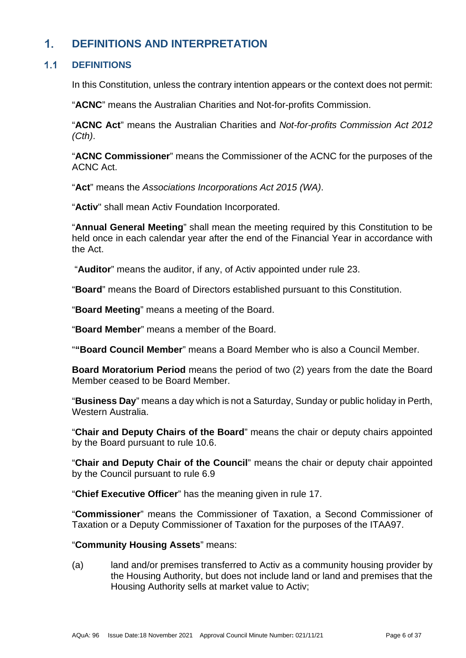### <span id="page-5-0"></span> $1<sub>1</sub>$ **DEFINITIONS AND INTERPRETATION**

#### <span id="page-5-1"></span> $1.1$ **DEFINITIONS**

In this Constitution, unless the contrary intention appears or the context does not permit:

"**ACNC**" means the Australian Charities and Not-for-profits Commission.

"**ACNC Act**" means the Australian Charities and *Not-for-profits Commission Act 2012 (Cth)*.

"**ACNC Commissioner**" means the Commissioner of the ACNC for the purposes of the ACNC Act.

"**Act**" means the *Associations Incorporations Act 2015 (WA)*.

"**Activ**" shall mean Activ Foundation Incorporated.

"**Annual General Meeting**" shall mean the meeting required by this Constitution to be held once in each calendar year after the end of the Financial Year in accordance with the Act.

"**Auditor**" means the auditor, if any, of Activ appointed under rule [23.](#page-34-1)

"**Board**" means the Board of Directors established pursuant to this Constitution.

"**Board Meeting**" means a meeting of the Board.

"**Board Member**" means a member of the Board.

"**"Board Council Member**" means a Board Member who is also a Council Member.

**Board Moratorium Period** means the period of two (2) years from the date the Board Member ceased to be Board Member.

"**Business Day**" means a day which is not a Saturday, Sunday or public holiday in Perth, Western Australia.

"**Chair and Deputy Chairs of the Board**" means the chair or deputy chairs appointed by the Board pursuant to rule [10.6.](#page-19-1)

"**Chair and Deputy Chair of the Council**" means the chair or deputy chair appointed by the Council pursuant to rule 6.9

"**Chief Executive Officer**" has the meaning given in rule [17.](#page-26-5)

"**Commissioner**" means the Commissioner of Taxation, a Second Commissioner of Taxation or a Deputy Commissioner of Taxation for the purposes of the ITAA97.

### "**Community Housing Assets**" means:

(a) land and/or premises transferred to Activ as a community housing provider by the Housing Authority, but does not include land or land and premises that the Housing Authority sells at market value to Activ;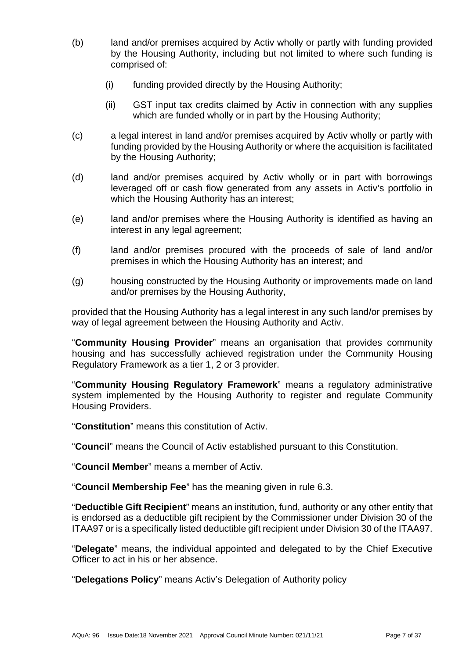- (b) land and/or premises acquired by Activ wholly or partly with funding provided by the Housing Authority, including but not limited to where such funding is comprised of:
	- (i) funding provided directly by the Housing Authority;
	- (ii) GST input tax credits claimed by Activ in connection with any supplies which are funded wholly or in part by the Housing Authority;
- (c) a legal interest in land and/or premises acquired by Activ wholly or partly with funding provided by the Housing Authority or where the acquisition is facilitated by the Housing Authority;
- (d) land and/or premises acquired by Activ wholly or in part with borrowings leveraged off or cash flow generated from any assets in Activ's portfolio in which the Housing Authority has an interest;
- (e) land and/or premises where the Housing Authority is identified as having an interest in any legal agreement;
- (f) land and/or premises procured with the proceeds of sale of land and/or premises in which the Housing Authority has an interest; and
- (g) housing constructed by the Housing Authority or improvements made on land and/or premises by the Housing Authority,

provided that the Housing Authority has a legal interest in any such land/or premises by way of legal agreement between the Housing Authority and Activ.

"**Community Housing Provider**" means an organisation that provides community housing and has successfully achieved registration under the Community Housing Regulatory Framework as a tier 1, 2 or 3 provider.

"**Community Housing Regulatory Framework**" means a regulatory administrative system implemented by the Housing Authority to register and regulate Community Housing Providers.

"**Constitution**" means this constitution of Activ.

"**Council**" means the Council of Activ established pursuant to this Constitution.

"**Council Member**" means a member of Activ.

"**Council Membership Fee**" has the meaning given in rule 6.3.

"**Deductible Gift Recipient**" means an institution, fund, authority or any other entity that is endorsed as a deductible gift recipient by the Commissioner under Division 30 of the ITAA97 or is a specifically listed deductible gift recipient under Division 30 of the ITAA97.

"**Delegate**" means, the individual appointed and delegated to by the Chief Executive Officer to act in his or her absence.

"**Delegations Policy**" means Activ's Delegation of Authority policy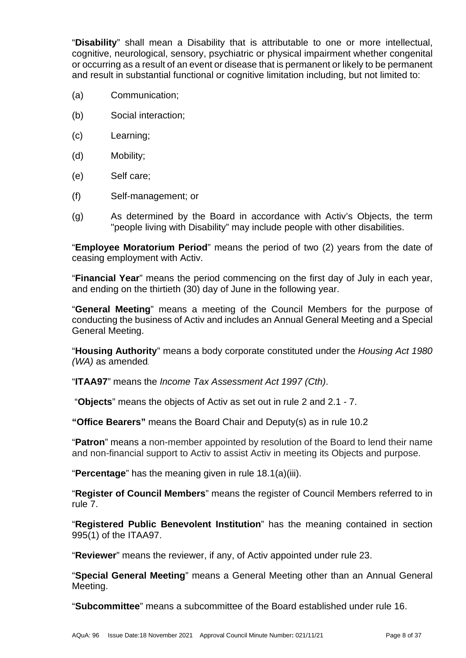"**Disability**" shall mean a Disability that is attributable to one or more intellectual, cognitive, neurological, sensory, psychiatric or physical impairment whether congenital or occurring as a result of an event or disease that is permanent or likely to be permanent and result in substantial functional or cognitive limitation including, but not limited to:

- (a) Communication;
- (b) Social interaction;
- (c) Learning;
- (d) Mobility;
- (e) Self care;
- (f) Self-management; or
- (g) As determined by the Board in accordance with Activ's Objects, the term "people living with Disability" may include people with other disabilities.

"**Employee Moratorium Period**" means the period of two (2) years from the date of ceasing employment with Activ.

"**Financial Year**" means the period commencing on the first day of July in each year, and ending on the thirtieth (30) day of June in the following year.

"**General Meeting**" means a meeting of the Council Members for the purpose of conducting the business of Activ and includes an Annual General Meeting and a Special General Meeting.

"**Housing Authority**" means a body corporate constituted under the *Housing Act 1980 (WA)* as amended.

"**ITAA97**" means the *Income Tax Assessment Act 1997 (Cth)*.

"**Objects**" means the objects of Activ as set out in rule [2](#page-8-1) and [2.1](#page-9-0) - 7.

**"Office Bearers"** means the Board Chair and Deputy(s) as in rule 10.2

"**Patron**" means a non-member appointed by resolution of the Board to lend their name and non-financial support to Activ to assist Activ in meeting its Objects and purpose.

"**Percentage**" has the meaning given in rule [18.1\(a\)\(iii\).](#page-28-5)

"**Register of Council Members**" means the register of Council Members referred to in rule [7.](#page-16-0)

"**Registered Public Benevolent Institution**" has the meaning contained in section 995(1) of the ITAA97.

"**Reviewer**" means the reviewer, if any, of Activ appointed under rule [23.](#page-34-1)

"**Special General Meeting**" means a General Meeting other than an Annual General Meeting.

"**Subcommittee**" means a subcommittee of the Board established under rule [16.](#page-26-0)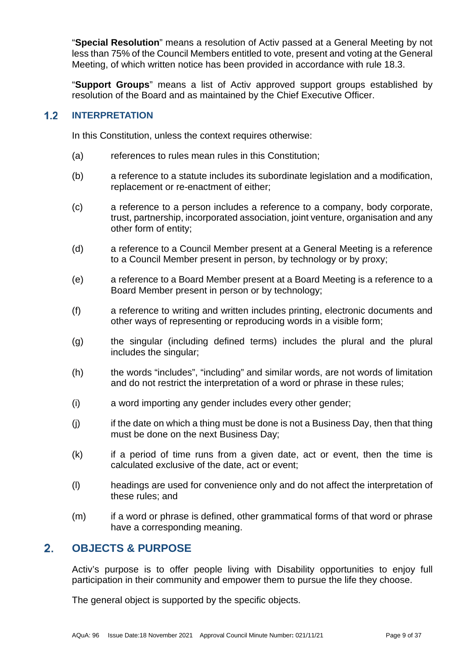"**Special Resolution**" means a resolution of Activ passed at a General Meeting by not less than 75% of the Council Members entitled to vote, present and voting at the General Meeting, of which written notice has been provided in accordance with rule 18.3.

"**Support Groups**" means a list of Activ approved support groups established by resolution of the Board and as maintained by the Chief Executive Officer.

#### <span id="page-8-0"></span> $1.2$ **INTERPRETATION**

In this Constitution, unless the context requires otherwise:

- (a) references to rules mean rules in this Constitution:
- (b) a reference to a statute includes its subordinate legislation and a modification, replacement or re-enactment of either;
- (c) a reference to a person includes a reference to a company, body corporate, trust, partnership, incorporated association, joint venture, organisation and any other form of entity;
- (d) a reference to a Council Member present at a General Meeting is a reference to a Council Member present in person, by technology or by proxy;
- (e) a reference to a Board Member present at a Board Meeting is a reference to a Board Member present in person or by technology;
- (f) a reference to writing and written includes printing, electronic documents and other ways of representing or reproducing words in a visible form;
- (g) the singular (including defined terms) includes the plural and the plural includes the singular;
- (h) the words "includes", "including" and similar words, are not words of limitation and do not restrict the interpretation of a word or phrase in these rules;
- (i) a word importing any gender includes every other gender;
- (j) if the date on which a thing must be done is not a Business Day, then that thing must be done on the next Business Day;
- $(k)$  if a period of time runs from a given date, act or event, then the time is calculated exclusive of the date, act or event;
- (l) headings are used for convenience only and do not affect the interpretation of these rules; and
- (m) if a word or phrase is defined, other grammatical forms of that word or phrase have a corresponding meaning.

#### <span id="page-8-1"></span> $2.$ **OBJECTS & PURPOSE**

Activ's purpose is to offer people living with Disability opportunities to enjoy full participation in their community and empower them to pursue the life they choose.

The general object is supported by the specific objects.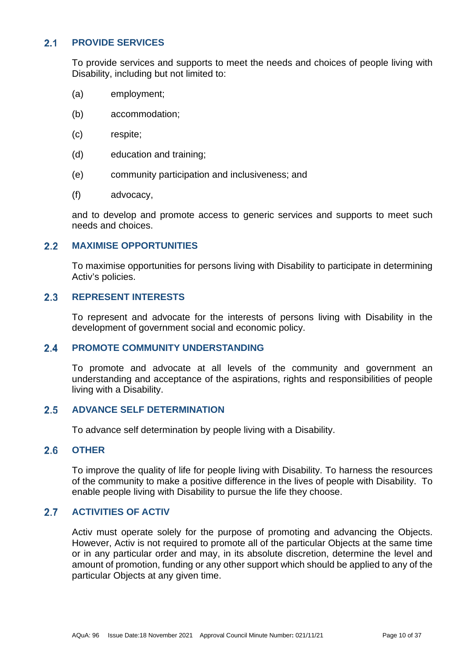#### <span id="page-9-0"></span> $2.1$ **PROVIDE SERVICES**

To provide services and supports to meet the needs and choices of people living with Disability, including but not limited to:

- (a) employment;
- (b) accommodation;
- (c) respite;
- (d) education and training;
- (e) community participation and inclusiveness; and
- (f) advocacy,

and to develop and promote access to generic services and supports to meet such needs and choices.

#### <span id="page-9-1"></span> $2.2$ **MAXIMISE OPPORTUNITIES**

To maximise opportunities for persons living with Disability to participate in determining Activ's policies.

#### <span id="page-9-2"></span> $2.3$ **REPRESENT INTERESTS**

To represent and advocate for the interests of persons living with Disability in the development of government social and economic policy.

#### <span id="page-9-3"></span> $24$ **PROMOTE COMMUNITY UNDERSTANDING**

To promote and advocate at all levels of the community and government an understanding and acceptance of the aspirations, rights and responsibilities of people living with a Disability.

#### <span id="page-9-4"></span>**ADVANCE SELF DETERMINATION**  $2.5$

To advance self determination by people living with a Disability.

#### <span id="page-9-5"></span> $2<sub>6</sub>$ **OTHER**

To improve the quality of life for people living with Disability. To harness the resources of the community to make a positive difference in the lives of people with Disability. To enable people living with Disability to pursue the life they choose.

#### <span id="page-9-6"></span> $2.7$ **ACTIVITIES OF ACTIV**

Activ must operate solely for the purpose of promoting and advancing the Objects. However, Activ is not required to promote all of the particular Objects at the same time or in any particular order and may, in its absolute discretion, determine the level and amount of promotion, funding or any other support which should be applied to any of the particular Objects at any given time.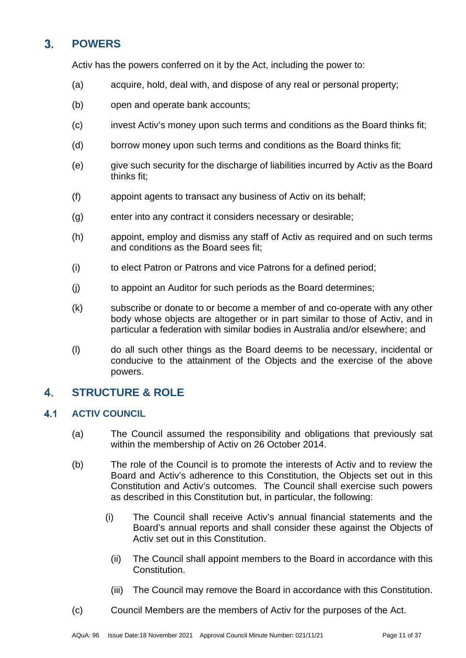### <span id="page-10-0"></span> $3<sub>1</sub>$ **POWERS**

Activ has the powers conferred on it by the Act, including the power to:

- (a) acquire, hold, deal with, and dispose of any real or personal property;
- (b) open and operate bank accounts;
- (c) invest Activ's money upon such terms and conditions as the Board thinks fit;
- (d) borrow money upon such terms and conditions as the Board thinks fit;
- (e) give such security for the discharge of liabilities incurred by Activ as the Board thinks fit;
- (f) appoint agents to transact any business of Activ on its behalf;
- (g) enter into any contract it considers necessary or desirable;
- (h) appoint, employ and dismiss any staff of Activ as required and on such terms and conditions as the Board sees fit;
- (i) to elect Patron or Patrons and vice Patrons for a defined period;
- (j) to appoint an Auditor for such periods as the Board determines;
- (k) subscribe or donate to or become a member of and co-operate with any other body whose objects are altogether or in part similar to those of Activ, and in particular a federation with similar bodies in Australia and/or elsewhere; and
- (l) do all such other things as the Board deems to be necessary, incidental or conducive to the attainment of the Objects and the exercise of the above powers.

### <span id="page-10-1"></span> $\mathbf{A}$ **STRUCTURE & ROLE**

#### <span id="page-10-2"></span> $4.1$ **ACTIV COUNCIL**

- (a) The Council assumed the responsibility and obligations that previously sat within the membership of Activ on 26 October 2014.
- (b) The role of the Council is to promote the interests of Activ and to review the Board and Activ's adherence to this Constitution, the Objects set out in this Constitution and Activ's outcomes. The Council shall exercise such powers as described in this Constitution but, in particular, the following:
	- (i) The Council shall receive Activ's annual financial statements and the Board's annual reports and shall consider these against the Objects of Activ set out in this Constitution.
		- (ii) The Council shall appoint members to the Board in accordance with this Constitution.
		- (iii) The Council may remove the Board in accordance with this Constitution.
- (c) Council Members are the members of Activ for the purposes of the Act.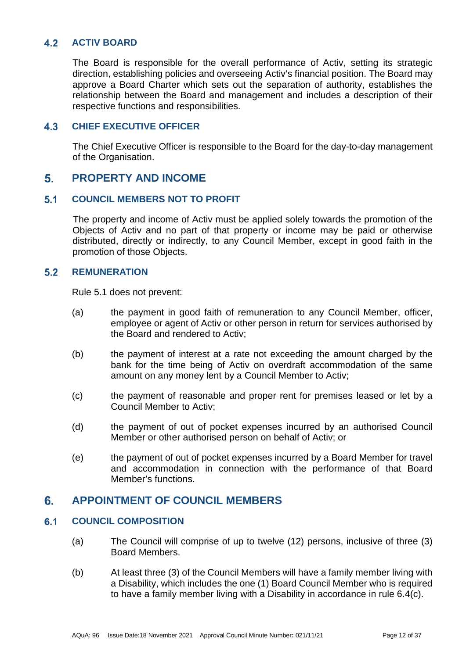#### <span id="page-11-0"></span> $4.2$ **ACTIV BOARD**

The Board is responsible for the overall performance of Activ, setting its strategic direction, establishing policies and overseeing Activ's financial position. The Board may approve a Board Charter which sets out the separation of authority, establishes the relationship between the Board and management and includes a description of their respective functions and responsibilities.

#### <span id="page-11-1"></span> $4.3$ **CHIEF EXECUTIVE OFFICER**

The Chief Executive Officer is responsible to the Board for the day-to-day management of the Organisation.

#### <span id="page-11-2"></span>5. **PROPERTY AND INCOME**

#### <span id="page-11-3"></span> $5.1$ **COUNCIL MEMBERS NOT TO PROFIT**

The property and income of Activ must be applied solely towards the promotion of the Objects of Activ and no part of that property or income may be paid or otherwise distributed, directly or indirectly, to any Council Member, except in good faith in the promotion of those Objects.

#### <span id="page-11-4"></span> $5.2$ **REMUNERATION**

Rule [5.1](#page-11-3) does not prevent:

- (a) the payment in good faith of remuneration to any Council Member, officer, employee or agent of Activ or other person in return for services authorised by the Board and rendered to Activ;
- (b) the payment of interest at a rate not exceeding the amount charged by the bank for the time being of Activ on overdraft accommodation of the same amount on any money lent by a Council Member to Activ;
- (c) the payment of reasonable and proper rent for premises leased or let by a Council Member to Activ;
- (d) the payment of out of pocket expenses incurred by an authorised Council Member or other authorised person on behalf of Activ; or
- (e) the payment of out of pocket expenses incurred by a Board Member for travel and accommodation in connection with the performance of that Board Member's functions.

#### <span id="page-11-5"></span> $6.$ **APPOINTMENT OF COUNCIL MEMBERS**

#### <span id="page-11-6"></span> $6.1$ **COUNCIL COMPOSITION**

- (a) The Council will comprise of up to twelve (12) persons, inclusive of three (3) Board Members.
- (b) At least three (3) of the Council Members will have a family member living with a Disability, which includes the one (1) Board Council Member who is required to have a family member living with a Disability in accordance in rule [6.4\(c\).](#page-12-5)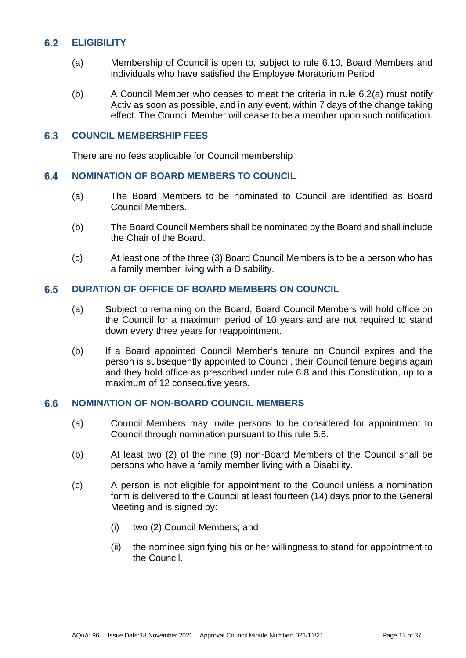#### <span id="page-12-0"></span> $6.2$ **ELIGIBILITY**

- <span id="page-12-6"></span>(a) Membership of Council is open to, subject to rule [6.10,](#page-13-3) Board Members and individuals who have satisfied the Employee Moratorium Period
- <span id="page-12-7"></span>(b) A Council Member who ceases to meet the criteria in rule [6.2\(a\)](#page-12-6) must notify Activ as soon as possible, and in any event, within 7 days of the change taking effect. The Council Member will cease to be a member upon such notification.

#### <span id="page-12-1"></span> $6.3$ **COUNCIL MEMBERSHIP FEES**

There are no fees applicable for Council membership

#### <span id="page-12-2"></span>6.4 **NOMINATION OF BOARD MEMBERS TO COUNCIL**

- (a) The Board Members to be nominated to Council are identified as Board Council Members.
- (b) The Board Council Members shall be nominated by the Board and shall include the Chair of the Board.
- <span id="page-12-5"></span>(c) At least one of the three (3) Board Council Members is to be a person who has a family member living with a Disability.

#### <span id="page-12-3"></span> $6.5$ **DURATION OF OFFICE OF BOARD MEMBERS ON COUNCIL**

- (a) Subject to remaining on the Board, Board Council Members will hold office on the Council for a maximum period of 10 years and are not required to stand down every three years for reappointment.
- (b) If a Board appointed Council Member's tenure on Council expires and the person is subsequently appointed to Council, their Council tenure begins again and they hold office as prescribed under rule [6.8](#page-13-1) and this Constitution, up to a maximum of 12 consecutive years.

#### <span id="page-12-4"></span> $6.6$ **NOMINATION OF NON-BOARD COUNCIL MEMBERS**

- (a) Council Members may invite persons to be considered for appointment to Council through nomination pursuant to this rule [6.6.](#page-12-4)
- (b) At least two (2) of the nine (9) non-Board Members of the Council shall be persons who have a family member living with a Disability.
- (c) A person is not eligible for appointment to the Council unless a nomination form is delivered to the Council at least fourteen (14) days prior to the General Meeting and is signed by:
	- (i) two (2) Council Members; and
	- (ii) the nominee signifying his or her willingness to stand for appointment to the Council.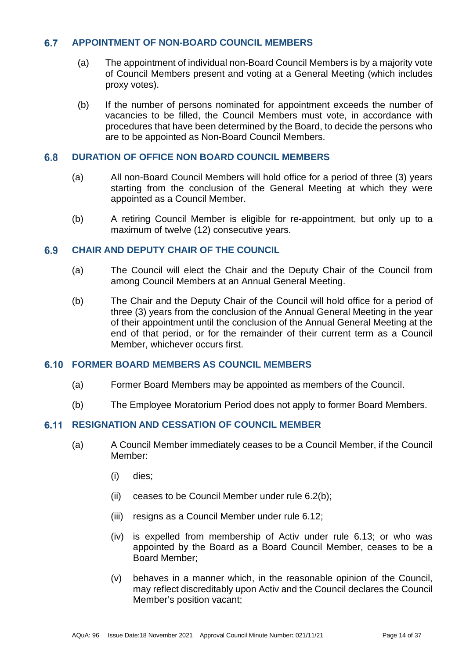#### <span id="page-13-0"></span> $6.7$ **APPOINTMENT OF NON-BOARD COUNCIL MEMBERS**

- (a) The appointment of individual non-Board Council Members is by a majority vote of Council Members present and voting at a General Meeting (which includes proxy votes).
- (b) If the number of persons nominated for appointment exceeds the number of vacancies to be filled, the Council Members must vote, in accordance with procedures that have been determined by the Board, to decide the persons who are to be appointed as Non-Board Council Members.

#### <span id="page-13-1"></span> $6.8$ **DURATION OF OFFICE NON BOARD COUNCIL MEMBERS**

- (a) All non-Board Council Members will hold office for a period of three (3) years starting from the conclusion of the General Meeting at which they were appointed as a Council Member.
- (b) A retiring Council Member is eligible for re-appointment, but only up to a maximum of twelve (12) consecutive years.

#### <span id="page-13-2"></span>**CHAIR AND DEPUTY CHAIR OF THE COUNCIL**  6.9

- (a) The Council will elect the Chair and the Deputy Chair of the Council from among Council Members at an Annual General Meeting.
- (b) The Chair and the Deputy Chair of the Council will hold office for a period of three (3) years from the conclusion of the Annual General Meeting in the year of their appointment until the conclusion of the Annual General Meeting at the end of that period, or for the remainder of their current term as a Council Member, whichever occurs first.

# <span id="page-13-3"></span>**FORMER BOARD MEMBERS AS COUNCIL MEMBERS**

- (a) Former Board Members may be appointed as members of the Council.
- (b) The Employee Moratorium Period does not apply to former Board Members.

### <span id="page-13-5"></span><span id="page-13-4"></span>**6.11 RESIGNATION AND CESSATION OF COUNCIL MEMBER**

- (a) A Council Member immediately ceases to be a Council Member, if the Council Member:
	- (i) dies;
	- (ii) ceases to be Council Member under rule [6.2\(b\);](#page-12-7)
	- (iii) resigns as a Council Member under rule [6.12;](#page-14-0)
	- (iv) is expelled from membership of Activ under rule [6.13;](#page-14-1) or who was appointed by the Board as a Board Council Member, ceases to be a Board Member;
	- (v) behaves in a manner which, in the reasonable opinion of the Council, may reflect discreditably upon Activ and the Council declares the Council Member's position vacant;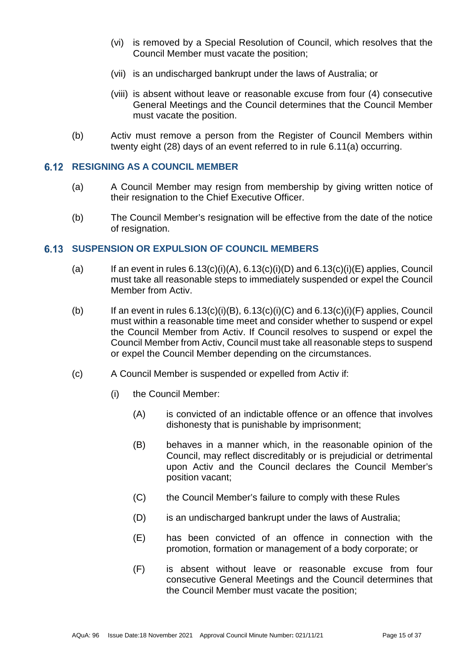- (vi) is removed by a Special Resolution of Council, which resolves that the Council Member must vacate the position;
- (vii) is an undischarged bankrupt under the laws of Australia; or
- (viii) is absent without leave or reasonable excuse from four (4) consecutive General Meetings and the Council determines that the Council Member must vacate the position.
- (b) Activ must remove a person from the Register of Council Members within twenty eight (28) days of an event referred to in rule [6.11\(a\)](#page-13-5) occurring.

### <span id="page-14-0"></span>**6.12 RESIGNING AS A COUNCIL MEMBER**

- (a) A Council Member may resign from membership by giving written notice of their resignation to the Chief Executive Officer.
- (b) The Council Member's resignation will be effective from the date of the notice of resignation.

# <span id="page-14-1"></span>**SUSPENSION OR EXPULSION OF COUNCIL MEMBERS**

- (a) If an event in rules  $6.13(c)(i)(A)$ ,  $6.13(c)(i)(D)$  and  $6.13(c)(i)(E)$  applies, Council must take all reasonable steps to immediately suspended or expel the Council Member from Activ.
- <span id="page-14-8"></span>(b) If an event in rules  $6.13(c)(i)(B)$ ,  $6.13(c)(i)(C)$  and  $6.13(c)(i)(F)$  applies, Council must within a reasonable time meet and consider whether to suspend or expel the Council Member from Activ. If Council resolves to suspend or expel the Council Member from Activ, Council must take all reasonable steps to suspend or expel the Council Member depending on the circumstances.
- <span id="page-14-7"></span><span id="page-14-6"></span><span id="page-14-5"></span><span id="page-14-4"></span><span id="page-14-3"></span><span id="page-14-2"></span>(c) A Council Member is suspended or expelled from Activ if:
	- (i) the Council Member:
		- (A) is convicted of an indictable offence or an offence that involves dishonesty that is punishable by imprisonment;
		- (B) behaves in a manner which, in the reasonable opinion of the Council, may reflect discreditably or is prejudicial or detrimental upon Activ and the Council declares the Council Member's position vacant;
		- (C) the Council Member's failure to comply with these Rules
		- (D) is an undischarged bankrupt under the laws of Australia;
		- (E) has been convicted of an offence in connection with the promotion, formation or management of a body corporate; or
		- (F) is absent without leave or reasonable excuse from four consecutive General Meetings and the Council determines that the Council Member must vacate the position;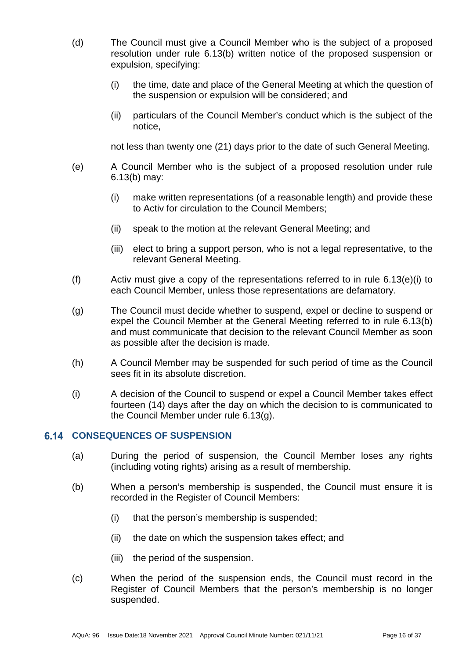- (d) The Council must give a Council Member who is the subject of a proposed resolution under rule [6.13\(b\)](#page-14-8) written notice of the proposed suspension or expulsion, specifying:
	- (i) the time, date and place of the General Meeting at which the question of the suspension or expulsion will be considered; and
	- (ii) particulars of the Council Member's conduct which is the subject of the notice,

not less than twenty one (21) days prior to the date of such General Meeting.

- <span id="page-15-1"></span>(e) A Council Member who is the subject of a proposed resolution under rule [6.13\(b\)](#page-14-8) may:
	- (i) make written representations (of a reasonable length) and provide these to Activ for circulation to the Council Members;
	- (ii) speak to the motion at the relevant General Meeting; and
	- (iii) elect to bring a support person, who is not a legal representative, to the relevant General Meeting.
- (f) Activ must give a copy of the representations referred to in rule [6.13\(e\)\(i\)](#page-15-1) to each Council Member, unless those representations are defamatory.
- <span id="page-15-2"></span>(g) The Council must decide whether to suspend, expel or decline to suspend or expel the Council Member at the General Meeting referred to in rule [6.13\(b\)](#page-14-8) and must communicate that decision to the relevant Council Member as soon as possible after the decision is made.
- (h) A Council Member may be suspended for such period of time as the Council sees fit in its absolute discretion.
- (i) A decision of the Council to suspend or expel a Council Member takes effect fourteen (14) days after the day on which the decision to is communicated to the Council Member under rule [6.13\(g\).](#page-15-2)

# <span id="page-15-0"></span>**6.14 CONSEQUENCES OF SUSPENSION**

- (a) During the period of suspension, the Council Member loses any rights (including voting rights) arising as a result of membership.
- (b) When a person's membership is suspended, the Council must ensure it is recorded in the Register of Council Members:
	- (i) that the person's membership is suspended;
	- (ii) the date on which the suspension takes effect; and
	- (iii) the period of the suspension.
- (c) When the period of the suspension ends, the Council must record in the Register of Council Members that the person's membership is no longer suspended.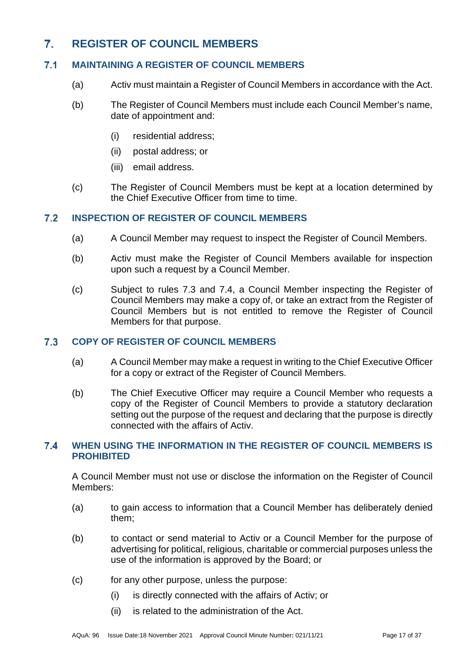### <span id="page-16-0"></span> $7<sub>1</sub>$ **REGISTER OF COUNCIL MEMBERS**

#### <span id="page-16-1"></span> $7.1$ **MAINTAINING A REGISTER OF COUNCIL MEMBERS**

- (a) Activ must maintain a Register of Council Members in accordance with the Act.
- (b) The Register of Council Members must include each Council Member's name, date of appointment and:
	- (i) residential address;
	- (ii) postal address; or
	- (iii) email address.
- (c) The Register of Council Members must be kept at a location determined by the Chief Executive Officer from time to time.

#### <span id="page-16-2"></span> $7.2$ **INSPECTION OF REGISTER OF COUNCIL MEMBERS**

- (a) A Council Member may request to inspect the Register of Council Members.
- (b) Activ must make the Register of Council Members available for inspection upon such a request by a Council Member.
- (c) Subject to rules [7.3](#page-16-3) and [7.4,](#page-16-4) a Council Member inspecting the Register of Council Members may make a copy of, or take an extract from the Register of Council Members but is not entitled to remove the Register of Council Members for that purpose.

#### <span id="page-16-3"></span> $7.3$ **COPY OF REGISTER OF COUNCIL MEMBERS**

- (a) A Council Member may make a request in writing to the Chief Executive Officer for a copy or extract of the Register of Council Members.
- (b) The Chief Executive Officer may require a Council Member who requests a copy of the Register of Council Members to provide a statutory declaration setting out the purpose of the request and declaring that the purpose is directly connected with the affairs of Activ.

### <span id="page-16-4"></span> $7.4$ **WHEN USING THE INFORMATION IN THE REGISTER OF COUNCIL MEMBERS IS PROHIBITED**

A Council Member must not use or disclose the information on the Register of Council Members:

- (a) to gain access to information that a Council Member has deliberately denied them;
- (b) to contact or send material to Activ or a Council Member for the purpose of advertising for political, religious, charitable or commercial purposes unless the use of the information is approved by the Board; or
- (c) for any other purpose, unless the purpose:
	- (i) is directly connected with the affairs of Activ; or
	- (ii) is related to the administration of the Act.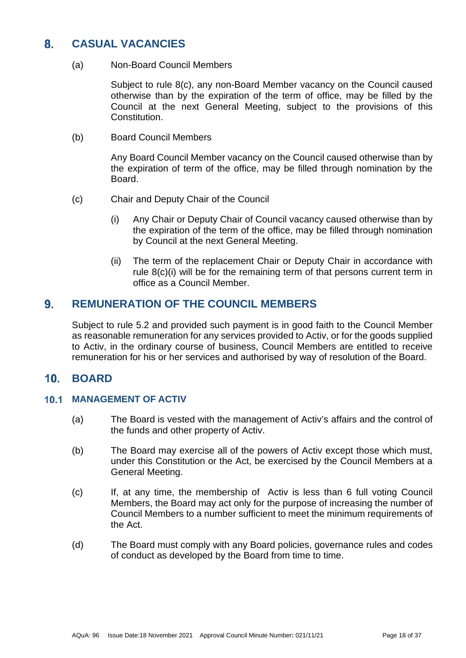### <span id="page-17-0"></span>**CASUAL VACANCIES**  $8<sub>1</sub>$

(a) Non-Board Council Members

Subject to rule [8\(c\),](#page-17-4) any non-Board Member vacancy on the Council caused otherwise than by the expiration of the term of office, may be filled by the Council at the next General Meeting, subject to the provisions of this Constitution.

(b) Board Council Members

Any Board Council Member vacancy on the Council caused otherwise than by the expiration of term of the office, may be filled through nomination by the Board.

- <span id="page-17-5"></span><span id="page-17-4"></span>(c) Chair and Deputy Chair of the Council
	- (i) Any Chair or Deputy Chair of Council vacancy caused otherwise than by the expiration of the term of the office, may be filled through nomination by Council at the next General Meeting.
	- (ii) The term of the replacement Chair or Deputy Chair in accordance with rule [8\(c\)\(i\)](#page-17-5) will be for the remaining term of that persons current term in office as a Council Member.

#### <span id="page-17-1"></span> $9<sub>1</sub>$ **REMUNERATION OF THE COUNCIL MEMBERS**

Subject to rule [5.2](#page-11-4) and provided such payment is in good faith to the Council Member as reasonable remuneration for any services provided to Activ, or for the goods supplied to Activ, in the ordinary course of business, Council Members are entitled to receive remuneration for his or her services and authorised by way of resolution of the Board.

#### <span id="page-17-2"></span> $10<sub>1</sub>$ **BOARD**

# <span id="page-17-3"></span>**10.1 MANAGEMENT OF ACTIV**

- (a) The Board is vested with the management of Activ's affairs and the control of the funds and other property of Activ.
- (b) The Board may exercise all of the powers of Activ except those which must, under this Constitution or the Act, be exercised by the Council Members at a General Meeting.
- (c) If, at any time, the membership of Activ is less than 6 full voting Council Members, the Board may act only for the purpose of increasing the number of Council Members to a number sufficient to meet the minimum requirements of the Act.
- (d) The Board must comply with any Board policies, governance rules and codes of conduct as developed by the Board from time to time.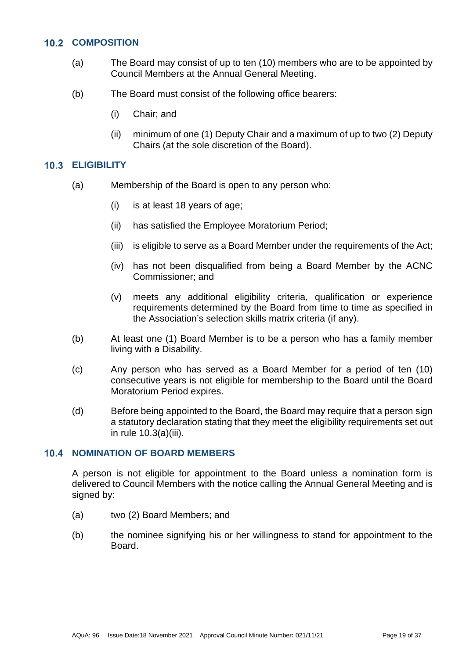# <span id="page-18-0"></span>**10.2 COMPOSITION**

- (a) The Board may consist of up to ten (10) members who are to be appointed by Council Members at the Annual General Meeting.
- <span id="page-18-4"></span>(b) The Board must consist of the following office bearers:
	- (i) Chair; and
	- (ii) minimum of one (1) Deputy Chair and a maximum of up to two (2) Deputy Chairs (at the sole discretion of the Board).

### <span id="page-18-1"></span>**ELIGIBILITY**

- <span id="page-18-3"></span>(a) Membership of the Board is open to any person who:
	- (i) is at least 18 years of age;
	- (ii) has satisfied the Employee Moratorium Period;
	- (iii) is eligible to serve as a Board Member under the requirements of the Act;
	- (iv) has not been disqualified from being a Board Member by the ACNC Commissioner; and
	- (v) meets any additional eligibility criteria, qualification or experience requirements determined by the Board from time to time as specified in the Association's selection skills matrix criteria (if any).
- (b) At least one (1) Board Member is to be a person who has a family member living with a Disability.
- (c) Any person who has served as a Board Member for a period of ten (10) consecutive years is not eligible for membership to the Board until the Board Moratorium Period expires.
- (d) Before being appointed to the Board, the Board may require that a person sign a statutory declaration stating that they meet the eligibility requirements set out in rule [10.3\(a\)\(iii\).](#page-18-3)

# <span id="page-18-2"></span>**10.4 NOMINATION OF BOARD MEMBERS**

A person is not eligible for appointment to the Board unless a nomination form is delivered to Council Members with the notice calling the Annual General Meeting and is signed by:

- (a) two (2) Board Members; and
- (b) the nominee signifying his or her willingness to stand for appointment to the Board.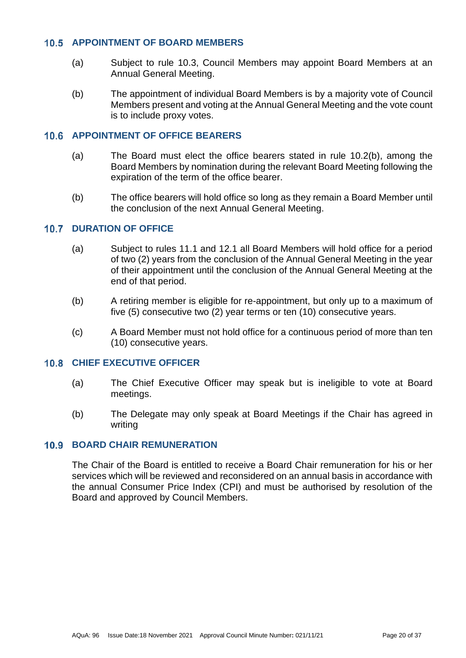## <span id="page-19-0"></span>**APPOINTMENT OF BOARD MEMBERS**

- (a) Subject to rule [10.3,](#page-18-1) Council Members may appoint Board Members at an Annual General Meeting.
- (b) The appointment of individual Board Members is by a majority vote of Council Members present and voting at the Annual General Meeting and the vote count is to include proxy votes.

# <span id="page-19-1"></span>**10.6 APPOINTMENT OF OFFICE BEARERS**

- (a) The Board must elect the office bearers stated in rule [10.2\(b\),](#page-18-4) among the Board Members by nomination during the relevant Board Meeting following the expiration of the term of the office bearer.
- (b) The office bearers will hold office so long as they remain a Board Member until the conclusion of the next Annual General Meeting.

# <span id="page-19-2"></span>**10.7 DURATION OF OFFICE**

- (a) Subject to rules [11.1](#page-20-1) and [12.1](#page-20-6) all Board Members will hold office for a period of two (2) years from the conclusion of the Annual General Meeting in the year of their appointment until the conclusion of the Annual General Meeting at the end of that period.
- (b) A retiring member is eligible for re-appointment, but only up to a maximum of five (5) consecutive two (2) year terms or ten (10) consecutive years.
- (c) A Board Member must not hold office for a continuous period of more than ten (10) consecutive years.

### <span id="page-19-3"></span>**10.8 CHIEF EXECUTIVE OFFICER**

- (a) The Chief Executive Officer may speak but is ineligible to vote at Board meetings.
- (b) The Delegate may only speak at Board Meetings if the Chair has agreed in writing

# <span id="page-19-4"></span>**10.9 BOARD CHAIR REMUNERATION**

The Chair of the Board is entitled to receive a Board Chair remuneration for his or her services which will be reviewed and reconsidered on an annual basis in accordance with the annual Consumer Price Index (CPI) and must be authorised by resolution of the Board and approved by Council Members.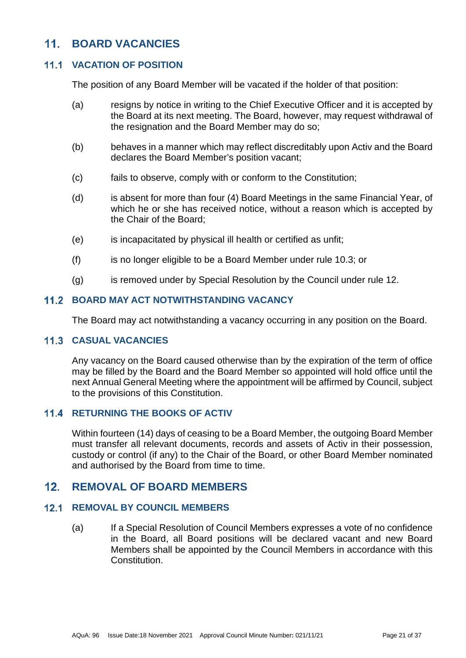### <span id="page-20-0"></span> $11<sup>1</sup>$ **BOARD VACANCIES**

# <span id="page-20-1"></span>**VACATION OF POSITION**

The position of any Board Member will be vacated if the holder of that position:

- (a) resigns by notice in writing to the Chief Executive Officer and it is accepted by the Board at its next meeting. The Board, however, may request withdrawal of the resignation and the Board Member may do so;
- (b) behaves in a manner which may reflect discreditably upon Activ and the Board declares the Board Member's position vacant;
- (c) fails to observe, comply with or conform to the Constitution;
- (d) is absent for more than four (4) Board Meetings in the same Financial Year, of which he or she has received notice, without a reason which is accepted by the Chair of the Board;
- (e) is incapacitated by physical ill health or certified as unfit;
- (f) is no longer eligible to be a Board Member under rule [10.3;](#page-18-1) or
- (g) is removed under by Special Resolution by the Council under rule [12.](#page-20-5)

# <span id="page-20-2"></span>**11.2 BOARD MAY ACT NOTWITHSTANDING VACANCY**

The Board may act notwithstanding a vacancy occurring in any position on the Board.

# <span id="page-20-3"></span>**11.3 CASUAL VACANCIES**

Any vacancy on the Board caused otherwise than by the expiration of the term of office may be filled by the Board and the Board Member so appointed will hold office until the next Annual General Meeting where the appointment will be affirmed by Council, subject to the provisions of this Constitution.

### <span id="page-20-4"></span>**11.4 RETURNING THE BOOKS OF ACTIV**

Within fourteen (14) days of ceasing to be a Board Member, the outgoing Board Member must transfer all relevant documents, records and assets of Activ in their possession, custody or control (if any) to the Chair of the Board, or other Board Member nominated and authorised by the Board from time to time.

#### <span id="page-20-5"></span> $12.$ **REMOVAL OF BOARD MEMBERS**

#### <span id="page-20-6"></span> $12.1$ **REMOVAL BY COUNCIL MEMBERS**

(a) If a Special Resolution of Council Members expresses a vote of no confidence in the Board, all Board positions will be declared vacant and new Board Members shall be appointed by the Council Members in accordance with this Constitution.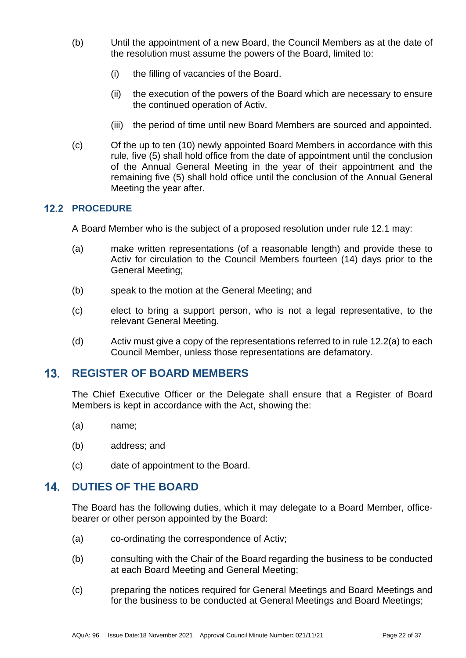- (b) Until the appointment of a new Board, the Council Members as at the date of the resolution must assume the powers of the Board, limited to:
	- (i) the filling of vacancies of the Board.
	- (ii) the execution of the powers of the Board which are necessary to ensure the continued operation of Activ.
	- (iii) the period of time until new Board Members are sourced and appointed.
- (c) Of the up to ten (10) newly appointed Board Members in accordance with this rule, five (5) shall hold office from the date of appointment until the conclusion of the Annual General Meeting in the year of their appointment and the remaining five (5) shall hold office until the conclusion of the Annual General Meeting the year after.

# <span id="page-21-3"></span><span id="page-21-0"></span>**12.2 PROCEDURE**

A Board Member who is the subject of a proposed resolution under rule [12.1](#page-20-6) may:

- (a) make written representations (of a reasonable length) and provide these to Activ for circulation to the Council Members fourteen (14) days prior to the General Meeting;
- (b) speak to the motion at the General Meeting; and
- (c) elect to bring a support person, who is not a legal representative, to the relevant General Meeting.
- (d) Activ must give a copy of the representations referred to in rule [12.2\(a\)](#page-21-3) to each Council Member, unless those representations are defamatory.

### <span id="page-21-1"></span> $13<sub>1</sub>$ **REGISTER OF BOARD MEMBERS**

The Chief Executive Officer or the Delegate shall ensure that a Register of Board Members is kept in accordance with the Act, showing the:

- (a) name;
- (b) address; and
- (c) date of appointment to the Board.

#### <span id="page-21-2"></span> $14$ **DUTIES OF THE BOARD**

The Board has the following duties, which it may delegate to a Board Member, officebearer or other person appointed by the Board:

- (a) co-ordinating the correspondence of Activ;
- (b) consulting with the Chair of the Board regarding the business to be conducted at each Board Meeting and General Meeting;
- (c) preparing the notices required for General Meetings and Board Meetings and for the business to be conducted at General Meetings and Board Meetings;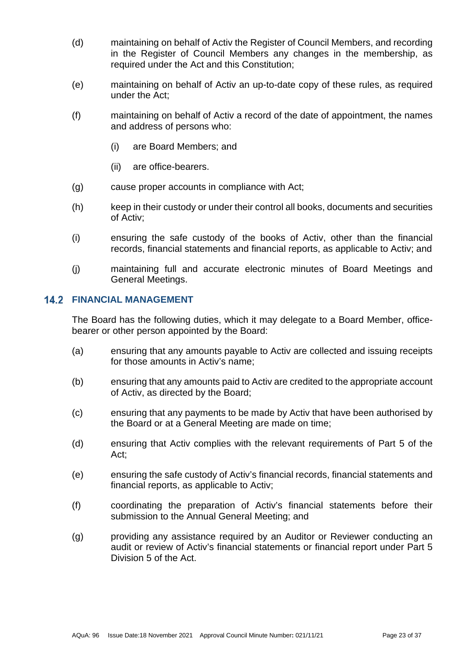- (d) maintaining on behalf of Activ the Register of Council Members, and recording in the Register of Council Members any changes in the membership, as required under the Act and this Constitution;
- (e) maintaining on behalf of Activ an up-to-date copy of these rules, as required under the Act;
- (f) maintaining on behalf of Activ a record of the date of appointment, the names and address of persons who:
	- (i) are Board Members; and
	- (ii) are office-bearers.
- (g) cause proper accounts in compliance with Act;
- (h) keep in their custody or under their control all books, documents and securities of Activ;
- (i) ensuring the safe custody of the books of Activ, other than the financial records, financial statements and financial reports, as applicable to Activ; and
- (j) maintaining full and accurate electronic minutes of Board Meetings and General Meetings.

### <span id="page-22-0"></span>**14.2 FINANCIAL MANAGEMENT**

The Board has the following duties, which it may delegate to a Board Member, officebearer or other person appointed by the Board:

- (a) ensuring that any amounts payable to Activ are collected and issuing receipts for those amounts in Activ's name;
- (b) ensuring that any amounts paid to Activ are credited to the appropriate account of Activ, as directed by the Board;
- (c) ensuring that any payments to be made by Activ that have been authorised by the Board or at a General Meeting are made on time;
- (d) ensuring that Activ complies with the relevant requirements of Part 5 of the Act;
- (e) ensuring the safe custody of Activ's financial records, financial statements and financial reports, as applicable to Activ;
- (f) coordinating the preparation of Activ's financial statements before their submission to the Annual General Meeting; and
- (g) providing any assistance required by an Auditor or Reviewer conducting an audit or review of Activ's financial statements or financial report under Part 5 Division 5 of the Act.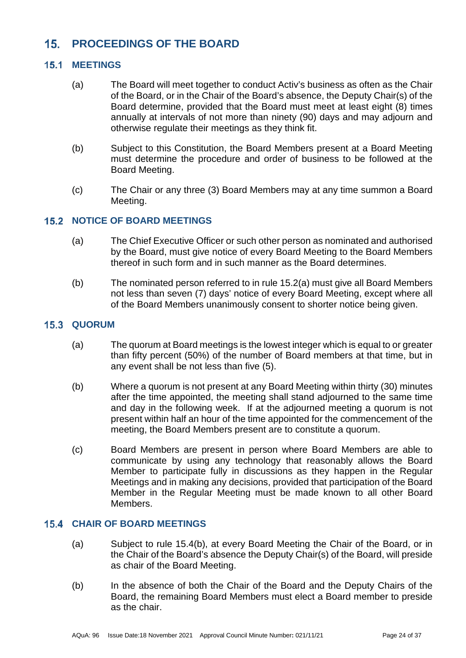### <span id="page-23-0"></span> $15.$ **PROCEEDINGS OF THE BOARD**

# <span id="page-23-1"></span>**15.1 MEETINGS**

- (a) The Board will meet together to conduct Activ's business as often as the Chair of the Board, or in the Chair of the Board's absence, the Deputy Chair(s) of the Board determine, provided that the Board must meet at least eight (8) times annually at intervals of not more than ninety (90) days and may adjourn and otherwise regulate their meetings as they think fit.
- (b) Subject to this Constitution, the Board Members present at a Board Meeting must determine the procedure and order of business to be followed at the Board Meeting.
- (c) The Chair or any three (3) Board Members may at any time summon a Board Meeting.

# <span id="page-23-5"></span><span id="page-23-2"></span>**15.2 NOTICE OF BOARD MEETINGS**

- (a) The Chief Executive Officer or such other person as nominated and authorised by the Board, must give notice of every Board Meeting to the Board Members thereof in such form and in such manner as the Board determines.
- (b) The nominated person referred to in rule [15.2\(a\)](#page-23-5) must give all Board Members not less than seven (7) days' notice of every Board Meeting, except where all of the Board Members unanimously consent to shorter notice being given.

# <span id="page-23-3"></span>**15.3 QUORUM**

- (a) The quorum at Board meetings is the lowest integer which is equal to or greater than fifty percent (50%) of the number of Board members at that time, but in any event shall be not less than five (5).
- (b) Where a quorum is not present at any Board Meeting within thirty (30) minutes after the time appointed, the meeting shall stand adjourned to the same time and day in the following week. If at the adjourned meeting a quorum is not present within half an hour of the time appointed for the commencement of the meeting, the Board Members present are to constitute a quorum.
- (c) Board Members are present in person where Board Members are able to communicate by using any technology that reasonably allows the Board Member to participate fully in discussions as they happen in the Regular Meetings and in making any decisions, provided that participation of the Board Member in the Regular Meeting must be made known to all other Board Members.

# <span id="page-23-4"></span>**CHAIR OF BOARD MEETINGS**

- (a) Subject to rule [15.4\(b\),](#page-23-6) at every Board Meeting the Chair of the Board, or in the Chair of the Board's absence the Deputy Chair(s) of the Board, will preside as chair of the Board Meeting.
- <span id="page-23-6"></span>(b) In the absence of both the Chair of the Board and the Deputy Chairs of the Board, the remaining Board Members must elect a Board member to preside as the chair.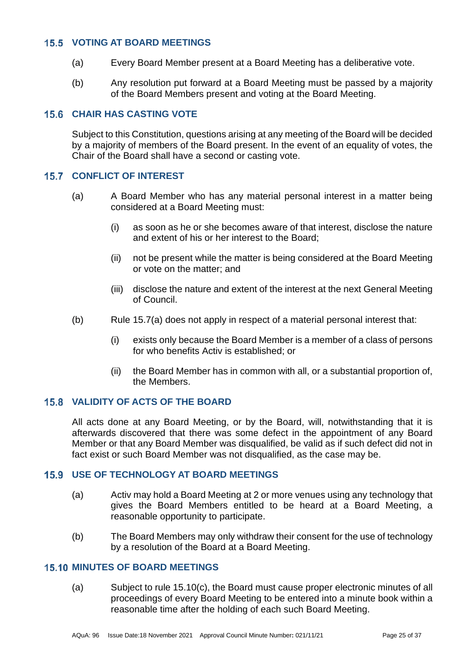# <span id="page-24-0"></span>**VOTING AT BOARD MEETINGS**

- (a) Every Board Member present at a Board Meeting has a deliberative vote.
- (b) Any resolution put forward at a Board Meeting must be passed by a majority of the Board Members present and voting at the Board Meeting.

# <span id="page-24-1"></span>**CHAIR HAS CASTING VOTE**

Subject to this Constitution, questions arising at any meeting of the Board will be decided by a majority of members of the Board present. In the event of an equality of votes, the Chair of the Board shall have a second or casting vote.

# <span id="page-24-6"></span><span id="page-24-2"></span>**15.7 CONFLICT OF INTEREST**

- <span id="page-24-8"></span>(a) A Board Member who has any material personal interest in a matter being considered at a Board Meeting must:
	- (i) as soon as he or she becomes aware of that interest, disclose the nature and extent of his or her interest to the Board;
	- (ii) not be present while the matter is being considered at the Board Meeting or vote on the matter; and
	- (iii) disclose the nature and extent of the interest at the next General Meeting of Council.
- (b) Rule [15.7\(a\)](#page-24-6) does not apply in respect of a material personal interest that:
	- (i) exists only because the Board Member is a member of a class of persons for who benefits Activ is established; or
	- (ii) the Board Member has in common with all, or a substantial proportion of, the Members.

# <span id="page-24-3"></span>**VALIDITY OF ACTS OF THE BOARD**

All acts done at any Board Meeting, or by the Board, will, notwithstanding that it is afterwards discovered that there was some defect in the appointment of any Board Member or that any Board Member was disqualified, be valid as if such defect did not in fact exist or such Board Member was not disqualified, as the case may be.

# <span id="page-24-4"></span>**USE OF TECHNOLOGY AT BOARD MEETINGS**

- (a) Activ may hold a Board Meeting at 2 or more venues using any technology that gives the Board Members entitled to be heard at a Board Meeting, a reasonable opportunity to participate.
- (b) The Board Members may only withdraw their consent for the use of technology by a resolution of the Board at a Board Meeting.

# <span id="page-24-7"></span><span id="page-24-5"></span>**15.10 MINUTES OF BOARD MEETINGS**

(a) Subject to rule [15.10\(c\),](#page-25-2) the Board must cause proper electronic minutes of all proceedings of every Board Meeting to be entered into a minute book within a reasonable time after the holding of each such Board Meeting.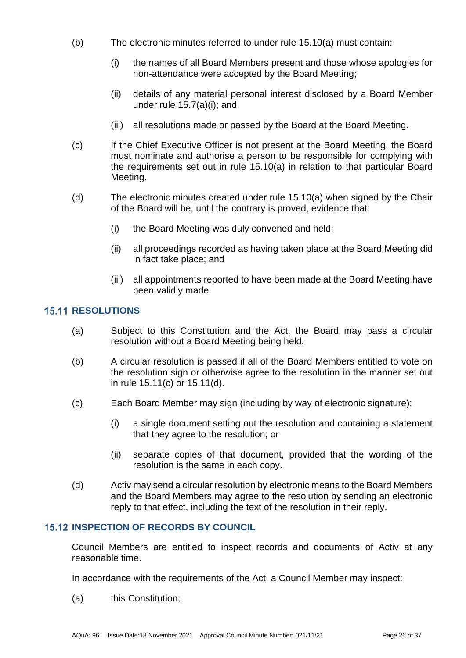- (b) The electronic minutes referred to under rule [15.10\(a\)](#page-24-7) must contain:
	- (i) the names of all Board Members present and those whose apologies for non-attendance were accepted by the Board Meeting;
	- (ii) details of any material personal interest disclosed by a Board Member under rule [15.7\(a\)\(i\);](#page-24-8) and
	- (iii) all resolutions made or passed by the Board at the Board Meeting.
- <span id="page-25-2"></span>(c) If the Chief Executive Officer is not present at the Board Meeting, the Board must nominate and authorise a person to be responsible for complying with the requirements set out in rule [15.10\(a\)](#page-24-7) in relation to that particular Board Meeting.
- (d) The electronic minutes created under rule [15.10\(a\)](#page-24-7) when signed by the Chair of the Board will be, until the contrary is proved, evidence that:
	- (i) the Board Meeting was duly convened and held;
	- (ii) all proceedings recorded as having taken place at the Board Meeting did in fact take place; and
	- (iii) all appointments reported to have been made at the Board Meeting have been validly made.

# <span id="page-25-0"></span>**15.11 RESOLUTIONS**

- (a) Subject to this Constitution and the Act, the Board may pass a circular resolution without a Board Meeting being held.
- (b) A circular resolution is passed if all of the Board Members entitled to vote on the resolution sign or otherwise agree to the resolution in the manner set out in rule [15.11\(c\)](#page-25-3) or [15.11\(d\).](#page-25-4)
- <span id="page-25-3"></span>(c) Each Board Member may sign (including by way of electronic signature):
	- (i) a single document setting out the resolution and containing a statement that they agree to the resolution; or
	- (ii) separate copies of that document, provided that the wording of the resolution is the same in each copy.
- <span id="page-25-4"></span>(d) Activ may send a circular resolution by electronic means to the Board Members and the Board Members may agree to the resolution by sending an electronic reply to that effect, including the text of the resolution in their reply.

# <span id="page-25-1"></span>**15.12 INSPECTION OF RECORDS BY COUNCIL**

Council Members are entitled to inspect records and documents of Activ at any reasonable time.

In accordance with the requirements of the Act, a Council Member may inspect:

(a) this Constitution;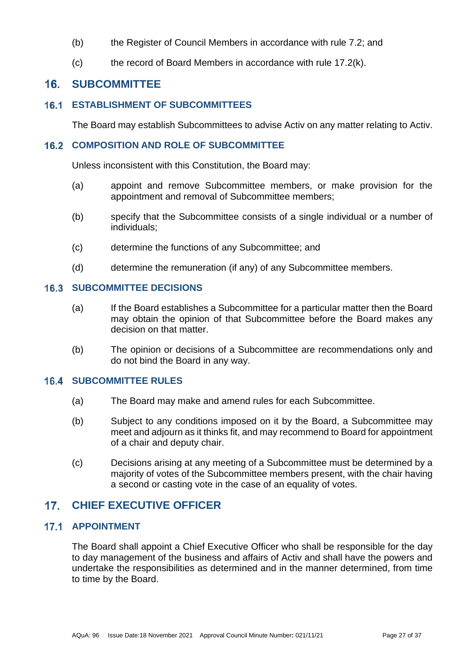- (b) the Register of Council Members in accordance with rule [7.2;](#page-16-2) and
- (c) the record of Board Members in accordance with rule [17.2\(k\).](#page-27-2)

#### <span id="page-26-0"></span> $16<sub>1</sub>$ **SUBCOMMITTEE**

### <span id="page-26-1"></span>**ESTABLISHMENT OF SUBCOMMITTEES**

The Board may establish Subcommittees to advise Activ on any matter relating to Activ.

### <span id="page-26-2"></span>**16.2 COMPOSITION AND ROLE OF SUBCOMMITTEE**

Unless inconsistent with this Constitution, the Board may:

- (a) appoint and remove Subcommittee members, or make provision for the appointment and removal of Subcommittee members;
- (b) specify that the Subcommittee consists of a single individual or a number of individuals;
- (c) determine the functions of any Subcommittee; and
- (d) determine the remuneration (if any) of any Subcommittee members.

# <span id="page-26-3"></span>**16.3 SUBCOMMITTEE DECISIONS**

- (a) If the Board establishes a Subcommittee for a particular matter then the Board may obtain the opinion of that Subcommittee before the Board makes any decision on that matter.
- (b) The opinion or decisions of a Subcommittee are recommendations only and do not bind the Board in any way.

# <span id="page-26-4"></span>**16.4 SUBCOMMITTEE RULES**

- (a) The Board may make and amend rules for each Subcommittee.
- (b) Subject to any conditions imposed on it by the Board, a Subcommittee may meet and adjourn as it thinks fit, and may recommend to Board for appointment of a chair and deputy chair.
- (c) Decisions arising at any meeting of a Subcommittee must be determined by a majority of votes of the Subcommittee members present, with the chair having a second or casting vote in the case of an equality of votes.

#### <span id="page-26-5"></span> $17.$ **CHIEF EXECUTIVE OFFICER**

# <span id="page-26-6"></span>**17.1 APPOINTMENT**

The Board shall appoint a Chief Executive Officer who shall be responsible for the day to day management of the business and affairs of Activ and shall have the powers and undertake the responsibilities as determined and in the manner determined, from time to time by the Board.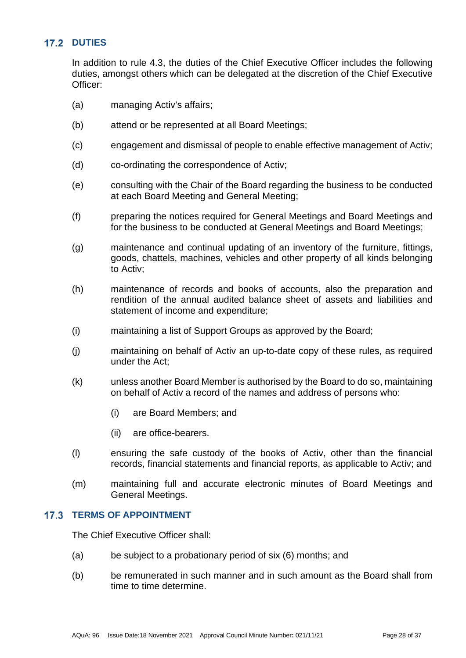# <span id="page-27-0"></span>**17.2 DUTIES**

In addition to rule [4.3,](#page-11-1) the duties of the Chief Executive Officer includes the following duties, amongst others which can be delegated at the discretion of the Chief Executive Officer:

- (a) managing Activ's affairs;
- (b) attend or be represented at all Board Meetings;
- (c) engagement and dismissal of people to enable effective management of Activ;
- (d) co-ordinating the correspondence of Activ;
- (e) consulting with the Chair of the Board regarding the business to be conducted at each Board Meeting and General Meeting;
- (f) preparing the notices required for General Meetings and Board Meetings and for the business to be conducted at General Meetings and Board Meetings;
- (g) maintenance and continual updating of an inventory of the furniture, fittings, goods, chattels, machines, vehicles and other property of all kinds belonging to Activ;
- (h) maintenance of records and books of accounts, also the preparation and rendition of the annual audited balance sheet of assets and liabilities and statement of income and expenditure;
- (i) maintaining a list of Support Groups as approved by the Board;
- (j) maintaining on behalf of Activ an up-to-date copy of these rules, as required under the Act;
- <span id="page-27-2"></span>(k) unless another Board Member is authorised by the Board to do so, maintaining on behalf of Activ a record of the names and address of persons who:
	- (i) are Board Members; and
	- (ii) are office-bearers.
- (l) ensuring the safe custody of the books of Activ, other than the financial records, financial statements and financial reports, as applicable to Activ; and
- (m) maintaining full and accurate electronic minutes of Board Meetings and General Meetings.

### <span id="page-27-1"></span>**17.3 TERMS OF APPOINTMENT**

The Chief Executive Officer shall:

- (a) be subject to a probationary period of six (6) months; and
- (b) be remunerated in such manner and in such amount as the Board shall from time to time determine.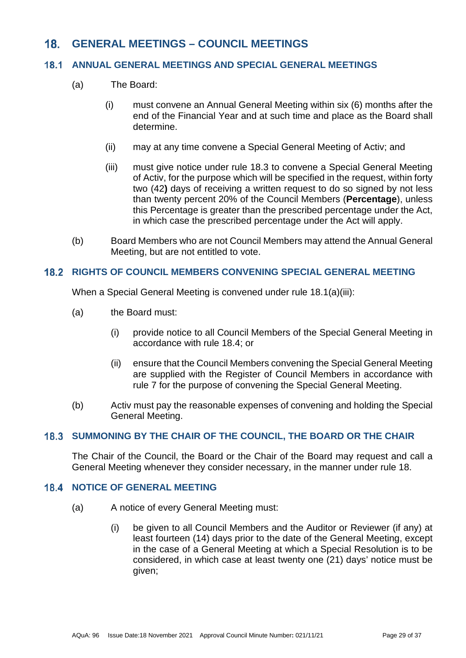### <span id="page-28-0"></span> $18.$ **GENERAL MEETINGS – COUNCIL MEETINGS**

#### <span id="page-28-1"></span> $18.1$ **ANNUAL GENERAL MEETINGS AND SPECIAL GENERAL MEETINGS**

- <span id="page-28-5"></span>(a) The Board:
	- (i) must convene an Annual General Meeting within six (6) months after the end of the Financial Year and at such time and place as the Board shall determine.
	- (ii) may at any time convene a Special General Meeting of Activ; and
	- (iii) must give notice under rule [18.3](#page-28-3) to convene a Special General Meeting of Activ, for the purpose which will be specified in the request, within forty two (42**)** days of receiving a written request to do so signed by not less than twenty percent 20% of the Council Members (**Percentage**), unless this Percentage is greater than the prescribed percentage under the Act, in which case the prescribed percentage under the Act will apply.
- (b) Board Members who are not Council Members may attend the Annual General Meeting, but are not entitled to vote.

# <span id="page-28-2"></span>**18.2 RIGHTS OF COUNCIL MEMBERS CONVENING SPECIAL GENERAL MEETING**

When a Special General Meeting is convened under rule [18.1\(a\)\(iii\):](#page-28-5)

- (a) the Board must:
	- (i) provide notice to all Council Members of the Special General Meeting in accordance with rule [18.4;](#page-28-4) or
	- (ii) ensure that the Council Members convening the Special General Meeting are supplied with the Register of Council Members in accordance with rule [7](#page-16-0) for the purpose of convening the Special General Meeting.
- (b) Activ must pay the reasonable expenses of convening and holding the Special General Meeting.

#### <span id="page-28-3"></span>**SUMMONING BY THE CHAIR OF THE COUNCIL, THE BOARD OR THE CHAIR**  $18.3$

The Chair of the Council, the Board or the Chair of the Board may request and call a General Meeting whenever they consider necessary, in the manner under rule [18.](#page-28-0)

# <span id="page-28-4"></span>**18.4 NOTICE OF GENERAL MEETING**

- (a) A notice of every General Meeting must:
	- (i) be given to all Council Members and the Auditor or Reviewer (if any) at least fourteen (14) days prior to the date of the General Meeting, except in the case of a General Meeting at which a Special Resolution is to be considered, in which case at least twenty one (21) days' notice must be given;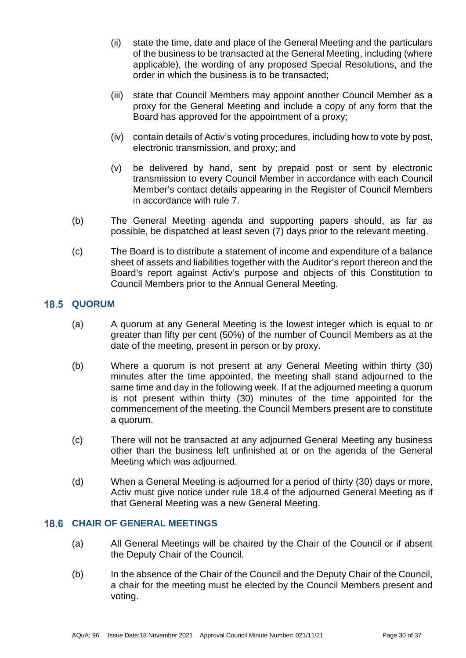- (ii) state the time, date and place of the General Meeting and the particulars of the business to be transacted at the General Meeting, including (where applicable), the wording of any proposed Special Resolutions, and the order in which the business is to be transacted;
- (iii) state that Council Members may appoint another Council Member as a proxy for the General Meeting and include a copy of any form that the Board has approved for the appointment of a proxy;
- (iv) contain details of Activ's voting procedures, including how to vote by post, electronic transmission, and proxy; and
- (v) be delivered by hand, sent by prepaid post or sent by electronic transmission to every Council Member in accordance with each Council Member's contact details appearing in the Register of Council Members in accordance with rule [7.](#page-16-0)
- (b) The General Meeting agenda and supporting papers should, as far as possible, be dispatched at least seven (7) days prior to the relevant meeting.
- (c) The Board is to distribute a statement of income and expenditure of a balance sheet of assets and liabilities together with the Auditor's report thereon and the Board's report against Activ's purpose and objects of this Constitution to Council Members prior to the Annual General Meeting.

# <span id="page-29-0"></span>**18.5 QUORUM**

- (a) A quorum at any General Meeting is the lowest integer which is equal to or greater than fifty per cent (50%) of the number of Council Members as at the date of the meeting, present in person or by proxy.
- (b) Where a quorum is not present at any General Meeting within thirty (30) minutes after the time appointed, the meeting shall stand adjourned to the same time and day in the following week. If at the adjourned meeting a quorum is not present within thirty (30) minutes of the time appointed for the commencement of the meeting, the Council Members present are to constitute a quorum.
- (c) There will not be transacted at any adjourned General Meeting any business other than the business left unfinished at or on the agenda of the General Meeting which was adjourned.
- (d) When a General Meeting is adjourned for a period of thirty (30) days or more, Activ must give notice under rule [18.4](#page-28-4) of the adjourned General Meeting as if that General Meeting was a new General Meeting.

### <span id="page-29-1"></span>**18.6 CHAIR OF GENERAL MEETINGS**

- (a) All General Meetings will be chaired by the Chair of the Council or if absent the Deputy Chair of the Council.
- (b) In the absence of the Chair of the Council and the Deputy Chair of the Council, a chair for the meeting must be elected by the Council Members present and voting.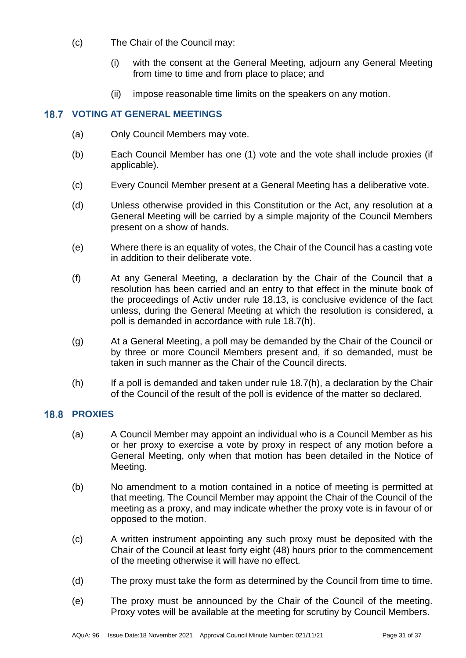- (c) The Chair of the Council may:
	- (i) with the consent at the General Meeting, adjourn any General Meeting from time to time and from place to place; and
	- (ii) impose reasonable time limits on the speakers on any motion.

# <span id="page-30-0"></span>**18.7 VOTING AT GENERAL MEETINGS**

- (a) Only Council Members may vote.
- (b) Each Council Member has one (1) vote and the vote shall include proxies (if applicable).
- (c) Every Council Member present at a General Meeting has a deliberative vote.
- (d) Unless otherwise provided in this Constitution or the Act, any resolution at a General Meeting will be carried by a simple majority of the Council Members present on a show of hands.
- (e) Where there is an equality of votes, the Chair of the Council has a casting vote in addition to their deliberate vote.
- (f) At any General Meeting, a declaration by the Chair of the Council that a resolution has been carried and an entry to that effect in the minute book of the proceedings of Activ under rule [18.13,](#page-31-4) is conclusive evidence of the fact unless, during the General Meeting at which the resolution is considered, a poll is demanded in accordance with rule [18.7\(h\).](#page-30-2)
- (g) At a General Meeting, a poll may be demanded by the Chair of the Council or by three or more Council Members present and, if so demanded, must be taken in such manner as the Chair of the Council directs.
- <span id="page-30-2"></span> $(h)$  If a poll is demanded and taken under rule [18.7\(h\),](#page-30-2) a declaration by the Chair of the Council of the result of the poll is evidence of the matter so declared.

# <span id="page-30-1"></span>18.8 PROXIES

- (a) A Council Member may appoint an individual who is a Council Member as his or her proxy to exercise a vote by proxy in respect of any motion before a General Meeting, only when that motion has been detailed in the Notice of Meeting.
- (b) No amendment to a motion contained in a notice of meeting is permitted at that meeting. The Council Member may appoint the Chair of the Council of the meeting as a proxy, and may indicate whether the proxy vote is in favour of or opposed to the motion.
- (c) A written instrument appointing any such proxy must be deposited with the Chair of the Council at least forty eight (48) hours prior to the commencement of the meeting otherwise it will have no effect.
- (d) The proxy must take the form as determined by the Council from time to time.
- (e) The proxy must be announced by the Chair of the Council of the meeting. Proxy votes will be available at the meeting for scrutiny by Council Members.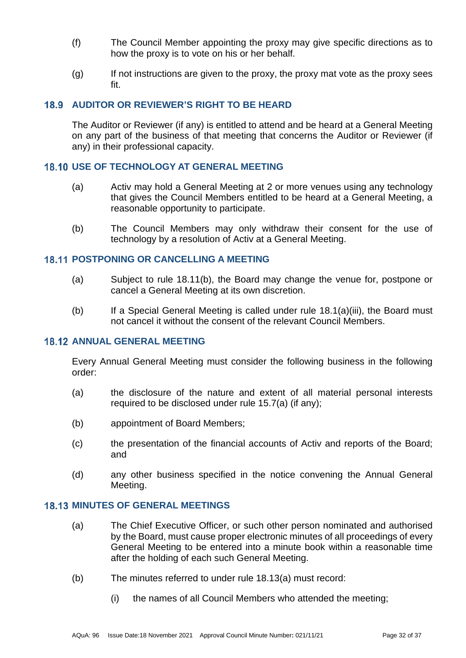- (f) The Council Member appointing the proxy may give specific directions as to how the proxy is to vote on his or her behalf.
- $(q)$  If not instructions are given to the proxy, the proxy mat vote as the proxy sees fit.

# <span id="page-31-0"></span>**AUDITOR OR REVIEWER'S RIGHT TO BE HEARD**

The Auditor or Reviewer (if any) is entitled to attend and be heard at a General Meeting on any part of the business of that meeting that concerns the Auditor or Reviewer (if any) in their professional capacity.

# <span id="page-31-1"></span>**18.10 USE OF TECHNOLOGY AT GENERAL MEETING**

- (a) Activ may hold a General Meeting at 2 or more venues using any technology that gives the Council Members entitled to be heard at a General Meeting, a reasonable opportunity to participate.
- (b) The Council Members may only withdraw their consent for the use of technology by a resolution of Activ at a General Meeting.

### <span id="page-31-2"></span>**18.11 POSTPONING OR CANCELLING A MEETING**

- (a) Subject to rule [18.11\(b\),](#page-31-5) the Board may change the venue for, postpone or cancel a General Meeting at its own discretion.
- <span id="page-31-5"></span>(b) If a Special General Meeting is called under rule [18.1\(a\)\(iii\),](#page-28-5) the Board must not cancel it without the consent of the relevant Council Members.

# <span id="page-31-3"></span>**18.12 ANNUAL GENERAL MEETING**

Every Annual General Meeting must consider the following business in the following order:

- (a) the disclosure of the nature and extent of all material personal interests required to be disclosed under rule [15.7\(a\)](#page-24-6) (if any);
- (b) appointment of Board Members;
- (c) the presentation of the financial accounts of Activ and reports of the Board; and
- (d) any other business specified in the notice convening the Annual General Meeting.

### <span id="page-31-6"></span><span id="page-31-4"></span>**18.13 MINUTES OF GENERAL MEETINGS**

- (a) The Chief Executive Officer, or such other person nominated and authorised by the Board, must cause proper electronic minutes of all proceedings of every General Meeting to be entered into a minute book within a reasonable time after the holding of each such General Meeting.
- (b) The minutes referred to under rule [18.13\(a\)](#page-31-6) must record:
	- (i) the names of all Council Members who attended the meeting;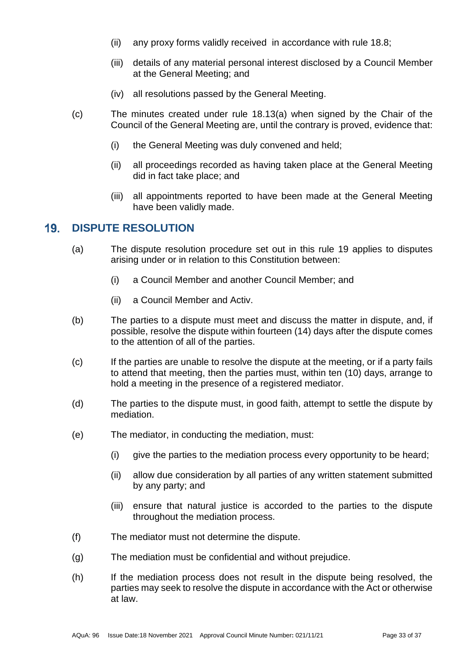- (ii) any proxy forms validly received in accordance with rule [18.8;](#page-30-1)
- (iii) details of any material personal interest disclosed by a Council Member at the General Meeting; and
- (iv) all resolutions passed by the General Meeting.
- (c) The minutes created under rule [18.13\(a\)](#page-31-6) when signed by the Chair of the Council of the General Meeting are, until the contrary is proved, evidence that:
	- (i) the General Meeting was duly convened and held;
	- (ii) all proceedings recorded as having taken place at the General Meeting did in fact take place; and
	- (iii) all appointments reported to have been made at the General Meeting have been validly made.

#### <span id="page-32-0"></span> $19.$ **DISPUTE RESOLUTION**

- (a) The dispute resolution procedure set out in this rule [19](#page-32-0) applies to disputes arising under or in relation to this Constitution between:
	- (i) a Council Member and another Council Member; and
	- (ii) a Council Member and Activ.
- (b) The parties to a dispute must meet and discuss the matter in dispute, and, if possible, resolve the dispute within fourteen (14) days after the dispute comes to the attention of all of the parties.
- (c) If the parties are unable to resolve the dispute at the meeting, or if a party fails to attend that meeting, then the parties must, within ten (10) days, arrange to hold a meeting in the presence of a registered mediator.
- (d) The parties to the dispute must, in good faith, attempt to settle the dispute by mediation.
- (e) The mediator, in conducting the mediation, must:
	- (i) give the parties to the mediation process every opportunity to be heard;
	- (ii) allow due consideration by all parties of any written statement submitted by any party; and
	- (iii) ensure that natural justice is accorded to the parties to the dispute throughout the mediation process.
- (f) The mediator must not determine the dispute.
- (g) The mediation must be confidential and without prejudice.
- (h) If the mediation process does not result in the dispute being resolved, the parties may seek to resolve the dispute in accordance with the Act or otherwise at law.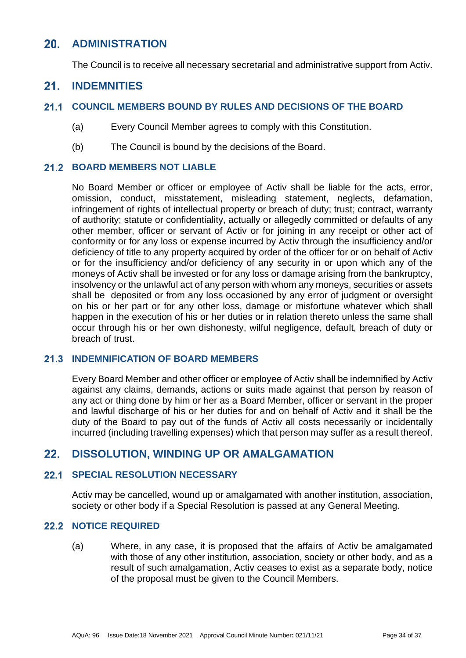#### <span id="page-33-0"></span> $20.$ **ADMINISTRATION**

The Council is to receive all necessary secretarial and administrative support from Activ.

#### <span id="page-33-1"></span> $21$ **INDEMNITIES**

#### <span id="page-33-2"></span> $21.1$ **COUNCIL MEMBERS BOUND BY RULES AND DECISIONS OF THE BOARD**

- (a) Every Council Member agrees to comply with this Constitution.
- (b) The Council is bound by the decisions of the Board.

# <span id="page-33-3"></span>**BOARD MEMBERS NOT LIABLE**

No Board Member or officer or employee of Activ shall be liable for the acts, error, omission, conduct, misstatement, misleading statement, neglects, defamation, infringement of rights of intellectual property or breach of duty; trust; contract, warranty of authority; statute or confidentiality, actually or allegedly committed or defaults of any other member, officer or servant of Activ or for joining in any receipt or other act of conformity or for any loss or expense incurred by Activ through the insufficiency and/or deficiency of title to any property acquired by order of the officer for or on behalf of Activ or for the insufficiency and/or deficiency of any security in or upon which any of the moneys of Activ shall be invested or for any loss or damage arising from the bankruptcy, insolvency or the unlawful act of any person with whom any moneys, securities or assets shall be deposited or from any loss occasioned by any error of judgment or oversight on his or her part or for any other loss, damage or misfortune whatever which shall happen in the execution of his or her duties or in relation thereto unless the same shall occur through his or her own dishonesty, wilful negligence, default, breach of duty or breach of trust.

# <span id="page-33-4"></span>**21.3 INDEMNIFICATION OF BOARD MEMBERS**

Every Board Member and other officer or employee of Activ shall be indemnified by Activ against any claims, demands, actions or suits made against that person by reason of any act or thing done by him or her as a Board Member, officer or servant in the proper and lawful discharge of his or her duties for and on behalf of Activ and it shall be the duty of the Board to pay out of the funds of Activ all costs necessarily or incidentally incurred (including travelling expenses) which that person may suffer as a result thereof.

### <span id="page-33-5"></span> $22.$ **DISSOLUTION, WINDING UP OR AMALGAMATION**

#### <span id="page-33-6"></span> $22.1$ **SPECIAL RESOLUTION NECESSARY**

Activ may be cancelled, wound up or amalgamated with another institution, association, society or other body if a Special Resolution is passed at any General Meeting.

# <span id="page-33-7"></span>22.2 NOTICE REQUIRED

(a) Where, in any case, it is proposed that the affairs of Activ be amalgamated with those of any other institution, association, society or other body, and as a result of such amalgamation, Activ ceases to exist as a separate body, notice of the proposal must be given to the Council Members.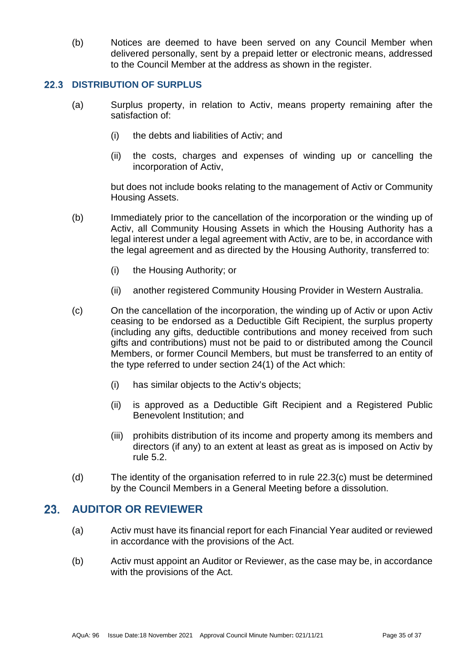(b) Notices are deemed to have been served on any Council Member when delivered personally, sent by a prepaid letter or electronic means, addressed to the Council Member at the address as shown in the register.

#### <span id="page-34-0"></span> $22.3$ **DISTRIBUTION OF SURPLUS**

- (a) Surplus property, in relation to Activ, means property remaining after the satisfaction of:
	- (i) the debts and liabilities of Activ; and
	- (ii) the costs, charges and expenses of winding up or cancelling the incorporation of Activ,

but does not include books relating to the management of Activ or Community Housing Assets.

- (b) Immediately prior to the cancellation of the incorporation or the winding up of Activ, all Community Housing Assets in which the Housing Authority has a legal interest under a legal agreement with Activ, are to be, in accordance with the legal agreement and as directed by the Housing Authority, transferred to:
	- (i) the Housing Authority; or
	- (ii) another registered Community Housing Provider in Western Australia.
- <span id="page-34-2"></span>(c) On the cancellation of the incorporation, the winding up of Activ or upon Activ ceasing to be endorsed as a Deductible Gift Recipient, the surplus property (including any gifts, deductible contributions and money received from such gifts and contributions) must not be paid to or distributed among the Council Members, or former Council Members, but must be transferred to an entity of the type referred to under section 24(1) of the Act which:
	- (i) has similar objects to the Activ's objects;
	- (ii) is approved as a Deductible Gift Recipient and a Registered Public Benevolent Institution; and
	- (iii) prohibits distribution of its income and property among its members and directors (if any) to an extent at least as great as is imposed on Activ by rule [5.2.](#page-11-4)
- (d) The identity of the organisation referred to in rule [22.3\(c\)](#page-34-2) must be determined by the Council Members in a General Meeting before a dissolution.

### <span id="page-34-1"></span>23. **AUDITOR OR REVIEWER**

- (a) Activ must have its financial report for each Financial Year audited or reviewed in accordance with the provisions of the Act.
- (b) Activ must appoint an Auditor or Reviewer, as the case may be, in accordance with the provisions of the Act.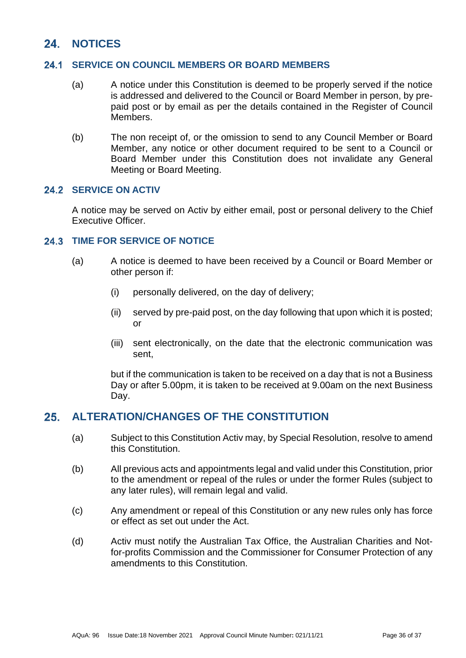### <span id="page-35-0"></span> $24$ **NOTICES**

#### <span id="page-35-1"></span> $24.1$ **SERVICE ON COUNCIL MEMBERS OR BOARD MEMBERS**

- (a) A notice under this Constitution is deemed to be properly served if the notice is addressed and delivered to the Council or Board Member in person, by prepaid post or by email as per the details contained in the Register of Council Members.
- (b) The non receipt of, or the omission to send to any Council Member or Board Member, any notice or other document required to be sent to a Council or Board Member under this Constitution does not invalidate any General Meeting or Board Meeting.

# <span id="page-35-2"></span>24.2 **SERVICE ON ACTIV**

A notice may be served on Activ by either email, post or personal delivery to the Chief Executive Officer.

# <span id="page-35-3"></span>**24.3 TIME FOR SERVICE OF NOTICE**

- (a) A notice is deemed to have been received by a Council or Board Member or other person if:
	- (i) personally delivered, on the day of delivery;
	- (ii) served by pre-paid post, on the day following that upon which it is posted; or
	- (iii) sent electronically, on the date that the electronic communication was sent,

but if the communication is taken to be received on a day that is not a Business Day or after 5.00pm, it is taken to be received at 9.00am on the next Business Day.

#### <span id="page-35-4"></span> $25<sub>1</sub>$ **ALTERATION/CHANGES OF THE CONSTITUTION**

- (a) Subject to this Constitution Activ may, by Special Resolution, resolve to amend this Constitution.
- (b) All previous acts and appointments legal and valid under this Constitution, prior to the amendment or repeal of the rules or under the former Rules (subject to any later rules), will remain legal and valid.
- (c) Any amendment or repeal of this Constitution or any new rules only has force or effect as set out under the Act.
- (d) Activ must notify the Australian Tax Office, the Australian Charities and Notfor-profits Commission and the Commissioner for Consumer Protection of any amendments to this Constitution.